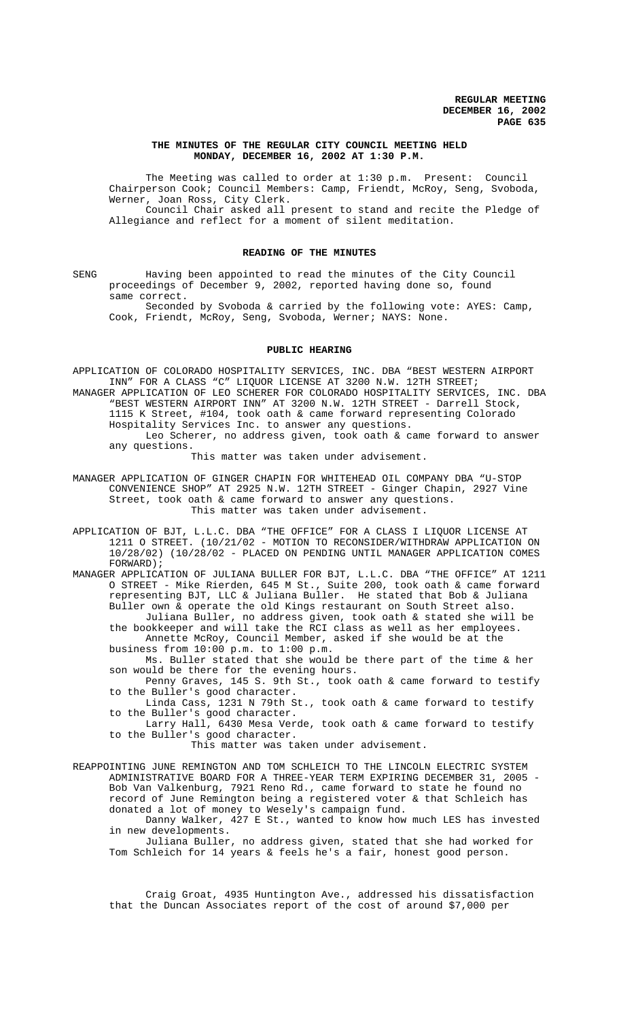#### **THE MINUTES OF THE REGULAR CITY COUNCIL MEETING HELD MONDAY, DECEMBER 16, 2002 AT 1:30 P.M.**

The Meeting was called to order at 1:30 p.m. Present: Council Chairperson Cook; Council Members: Camp, Friendt, McRoy, Seng, Svoboda, Werner, Joan Ross, City Clerk. Council Chair asked all present to stand and recite the Pledge of Allegiance and reflect for a moment of silent meditation.

#### **READING OF THE MINUTES**

SENG Having been appointed to read the minutes of the City Council proceedings of December 9, 2002, reported having done so, found same correct.

Seconded by Svoboda & carried by the following vote: AYES: Camp, Cook, Friendt, McRoy, Seng, Svoboda, Werner; NAYS: None.

#### **PUBLIC HEARING**

APPLICATION OF COLORADO HOSPITALITY SERVICES, INC. DBA "BEST WESTERN AIRPORT INN" FOR A CLASS "C" LIQUOR LICENSE AT 3200 N.W. 12TH STREET; MANAGER APPLICATION OF LEO SCHERER FOR COLORADO HOSPITALITY SERVICES, INC. DBA "BEST WESTERN AIRPORT INN" AT 3200 N.W. 12TH STREET - Darrell Stock, 1115 K Street, #104, took oath & came forward representing Colorado Hospitality Services Inc. to answer any questions. Leo Scherer, no address given, took oath & came forward to answer any questions.

This matter was taken under advisement.

MANAGER APPLICATION OF GINGER CHAPIN FOR WHITEHEAD OIL COMPANY DBA "U-STOP CONVENIENCE SHOP" AT 2925 N.W. 12TH STREET - Ginger Chapin, 2927 Vine Street, took oath & came forward to answer any questions. This matter was taken under advisement.

APPLICATION OF BJT, L.L.C. DBA "THE OFFICE" FOR A CLASS I LIQUOR LICENSE AT 1211 O STREET. (10/21/02 - MOTION TO RECONSIDER/WITHDRAW APPLICATION ON 10/28/02) (10/28/02 - PLACED ON PENDING UNTIL MANAGER APPLICATION COMES FORWARD) ;

MANAGER APPLICATION OF JULIANA BULLER FOR BJT, L.L.C. DBA "THE OFFICE" AT 1211 O STREET - Mike Rierden, 645 M St., Suite 200, took oath & came forward representing BJT, LLC & Juliana Buller. He stated that Bob & Juliana Buller own & operate the old Kings restaurant on South Street also. Juliana Buller, no address given, took oath & stated she will be the bookkeeper and will take the RCI class as well as her employees. Annette McRoy, Council Member, asked if she would be at the

business from 10:00 p.m. to 1:00 p.m.

Ms. Buller stated that she would be there part of the time & her son would be there for the evening hours.

Penny Graves, 145 S. 9th St., took oath & came forward to testify to the Buller's good character.

Linda Cass, 1231 N 79th St., took oath & came forward to testify to the Buller's good character.

Larry Hall, 6430 Mesa Verde, took oath & came forward to testify to the Buller's good character.

This matter was taken under advisement.

REAPPOINTING JUNE REMINGTON AND TOM SCHLEICH TO THE LINCOLN ELECTRIC SYSTEM ADMINISTRATIVE BOARD FOR A THREE-YEAR TERM EXPIRING DECEMBER 31, 2005 - Bob Van Valkenburg, 7921 Reno Rd., came forward to state he found no record of June Remington being a registered voter & that Schleich has donated a lot of money to Wesely's campaign fund.

Danny Walker, 427 E St., wanted to know how much LES has invested in new developments.

Juliana Buller, no address given, stated that she had worked for Tom Schleich for 14 years & feels he's a fair, honest good person.

Craig Groat, 4935 Huntington Ave., addressed his dissatisfaction that the Duncan Associates report of the cost of around \$7,000 per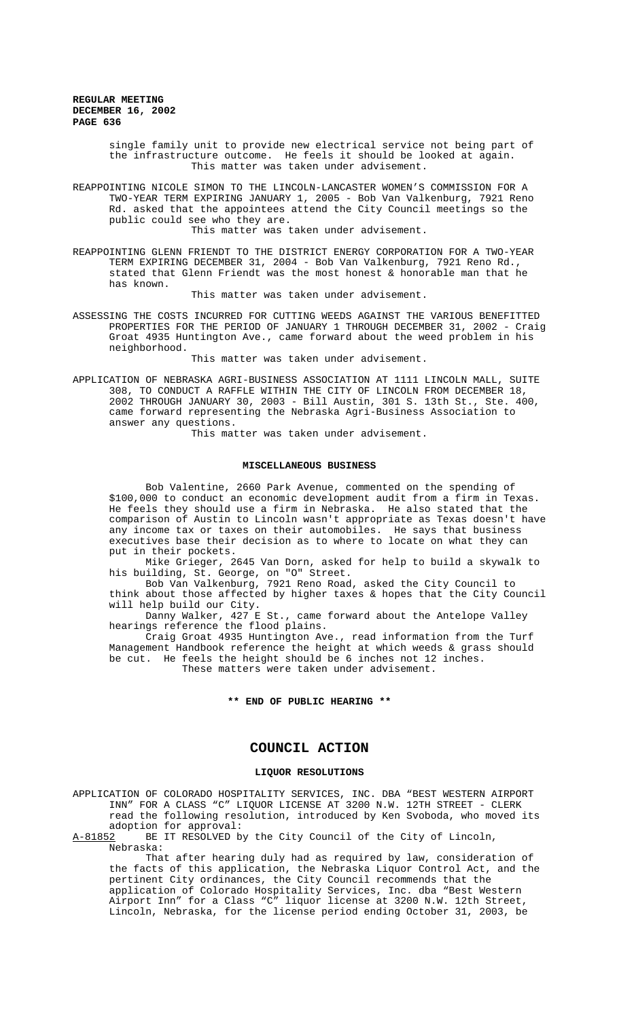single family unit to provide new electrical service not being part of the infrastructure outcome. He feels it should be looked at again. This matter was taken under advisement.

REAPPOINTING NICOLE SIMON TO THE LINCOLN-LANCASTER WOMEN'S COMMISSION FOR A TWO-YEAR TERM EXPIRING JANUARY 1, 2005 - Bob Van Valkenburg, 7921 Reno Rd. asked that the appointees attend the City Council meetings so the public could see who they are.

This matter was taken under advisement.

REAPPOINTING GLENN FRIENDT TO THE DISTRICT ENERGY CORPORATION FOR A TWO-YEAR TERM EXPIRING DECEMBER 31, 2004 - Bob Van Valkenburg, 7921 Reno Rd., stated that Glenn Friendt was the most honest & honorable man that he has known.

This matter was taken under advisement.

ASSESSING THE COSTS INCURRED FOR CUTTING WEEDS AGAINST THE VARIOUS BENEFITTED PROPERTIES FOR THE PERIOD OF JANUARY 1 THROUGH DECEMBER 31, 2002 - Craig Groat 4935 Huntington Ave., came forward about the weed problem in his neighborhood.

This matter was taken under advisement.

APPLICATION OF NEBRASKA AGRI-BUSINESS ASSOCIATION AT 1111 LINCOLN MALL, SUITE 308, TO CONDUCT A RAFFLE WITHIN THE CITY OF LINCOLN FROM DECEMBER 18, 2002 THROUGH JANUARY 30, 2003 - Bill Austin, 301 S. 13th St., Ste. 400, came forward representing the Nebraska Agri-Business Association to answer any questions.

This matter was taken under advisement.

#### **MISCELLANEOUS BUSINESS**

Bob Valentine, 2660 Park Avenue, commented on the spending of \$100,000 to conduct an economic development audit from a firm in Texas. He feels they should use a firm in Nebraska. He also stated that the comparison of Austin to Lincoln wasn't appropriate as Texas doesn't have any income tax or taxes on their automobiles. He says that business executives base their decision as to where to locate on what they can put in their pockets.

Mike Grieger, 2645 Van Dorn, asked for help to build a skywalk to his building, St. George, on "O" Street.

Bob Van Valkenburg, 7921 Reno Road, asked the City Council to think about those affected by higher taxes & hopes that the City Council will help build our City.

Danny Walker, 427 E St., came forward about the Antelope Valley hearings reference the flood plains.

Craig Groat 4935 Huntington Ave., read information from the Turf Management Handbook reference the height at which weeds & grass should be cut. He feels the height should be 6 inches not 12 inches. These matters were taken under advisement.

#### **\*\* END OF PUBLIC HEARING \*\***

# **COUNCIL ACTION**

#### **LIQUOR RESOLUTIONS**

APPLICATION OF COLORADO HOSPITALITY SERVICES, INC. DBA "BEST WESTERN AIRPORT INN" FOR A CLASS "C" LIQUOR LICENSE AT 3200 N.W. 12TH STREET - CLERK read the following resolution, introduced by Ken Svoboda, who moved its adoption for approval:<br>A-81852 BE IT RESOLVED b

BE IT RESOLVED by the City Council of the City of Lincoln, Nebraska:

That after hearing duly had as required by law, consideration of the facts of this application, the Nebraska Liquor Control Act, and the pertinent City ordinances, the City Council recommends that the application of Colorado Hospitality Services, Inc. dba "Best Western Airport Inn" for a Class "C" liquor license at 3200 N.W. 12th Street, Lincoln, Nebraska, for the license period ending October 31, 2003, be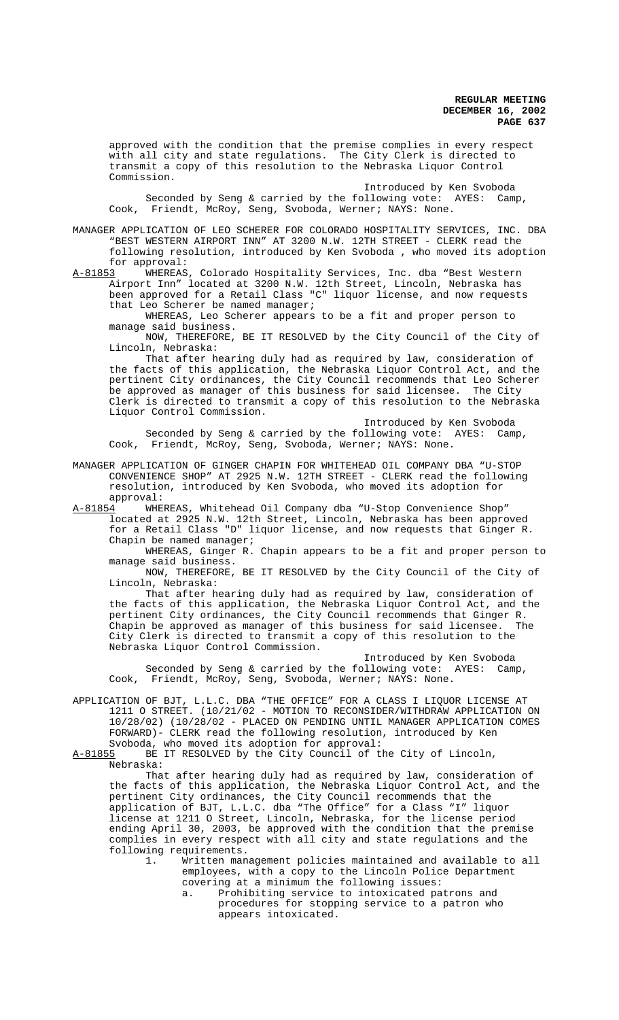approved with the condition that the premise complies in every respect with all city and state regulations. The City Clerk is directed to transmit a copy of this resolution to the Nebraska Liquor Control Commission.

Introduced by Ken Svoboda Seconded by Seng & carried by the following vote: AYES: Camp, Cook, Friendt, McRoy, Seng, Svoboda, Werner; NAYS: None.

MANAGER APPLICATION OF LEO SCHERER FOR COLORADO HOSPITALITY SERVICES, INC. DBA "BEST WESTERN AIRPORT INN" AT 3200 N.W. 12TH STREET - CLERK read the following resolution, introduced by Ken Svoboda , who moved its adoption for approval:<br>A-81853 WHEREAS

A-81853 MHEREAS, Colorado Hospitality Services, Inc. dba "Best Western Airport Inn" located at 3200 N.W. 12th Street, Lincoln, Nebraska has been approved for a Retail Class "C" liquor license, and now requests that Leo Scherer be named manager;

WHEREAS, Leo Scherer appears to be a fit and proper person to manage said business.

NOW, THEREFORE, BE IT RESOLVED by the City Council of the City of Lincoln, Nebraska:

That after hearing duly had as required by law, consideration of the facts of this application, the Nebraska Liquor Control Act, and the pertinent City ordinances, the City Council recommends that Leo Scherer be approved as manager of this business for said licensee. The City Clerk is directed to transmit a copy of this resolution to the Nebraska Liquor Control Commission.

Introduced by Ken Svoboda Seconded by Seng & carried by the following vote: AYES: Camp, Cook, Friendt, McRoy, Seng, Svoboda, Werner; NAYS: None.

MANAGER APPLICATION OF GINGER CHAPIN FOR WHITEHEAD OIL COMPANY DBA "U-STOP CONVENIENCE SHOP" AT 2925 N.W. 12TH STREET - CLERK read the following resolution, introduced by Ken Svoboda, who moved its adoption for approval:

A-81854 WHEREAS, Whitehead Oil Company dba "U-Stop Convenience Shop" located at 2925 N.W. 12th Street, Lincoln, Nebraska has been approved for a Retail Class "D" liquor license, and now requests that Ginger R. Chapin be named manager;

WHEREAS, Ginger R. Chapin appears to be a fit and proper person to manage said business.

NOW, THEREFORE, BE IT RESOLVED by the City Council of the City of Lincoln, Nebraska:

That after hearing duly had as required by law, consideration of the facts of this application, the Nebraska Liquor Control Act, and the pertinent City ordinances, the City Council recommends that Ginger R.<br>Chapin be approved as manager of this business for said licensee. The Chapin be approved as manager of this business for said licensee. City Clerk is directed to transmit a copy of this resolution to the Nebraska Liquor Control Commission.

Introduced by Ken Svoboda Seconded by Seng & carried by the following vote: AYES: Camp, Cook, Friendt, McRoy, Seng, Svoboda, Werner; NAYS: None.

APPLICATION OF BJT, L.L.C. DBA "THE OFFICE" FOR A CLASS I LIQUOR LICENSE AT 1211 O STREET. (10/21/02 - MOTION TO RECONSIDER/WITHDRAW APPLICATION ON 10/28/02) (10/28/02 - PLACED ON PENDING UNTIL MANAGER APPLICATION COMES FORWARD)- CLERK read the following resolution, introduced by Ken Svoboda, who moved its adoption for approval:

A-81855 BE IT RESOLVED by the City Council of the City of Lincoln, Nebraska:

That after hearing duly had as required by law, consideration of the facts of this application, the Nebraska Liquor Control Act, and the pertinent City ordinances, the City Council recommends that the application of BJT, L.L.C. dba "The Office" for a Class "I" liquor license at 1211 O Street, Lincoln, Nebraska, for the license period ending April 30, 2003, be approved with the condition that the premise complies in every respect with all city and state regulations and the following requirements.

1. Written management policies maintained and available to all employees, with a copy to the Lincoln Police Department covering at a minimum the following issues:

a. Prohibiting service to intoxicated patrons and procedures for stopping service to a patron who appears intoxicated.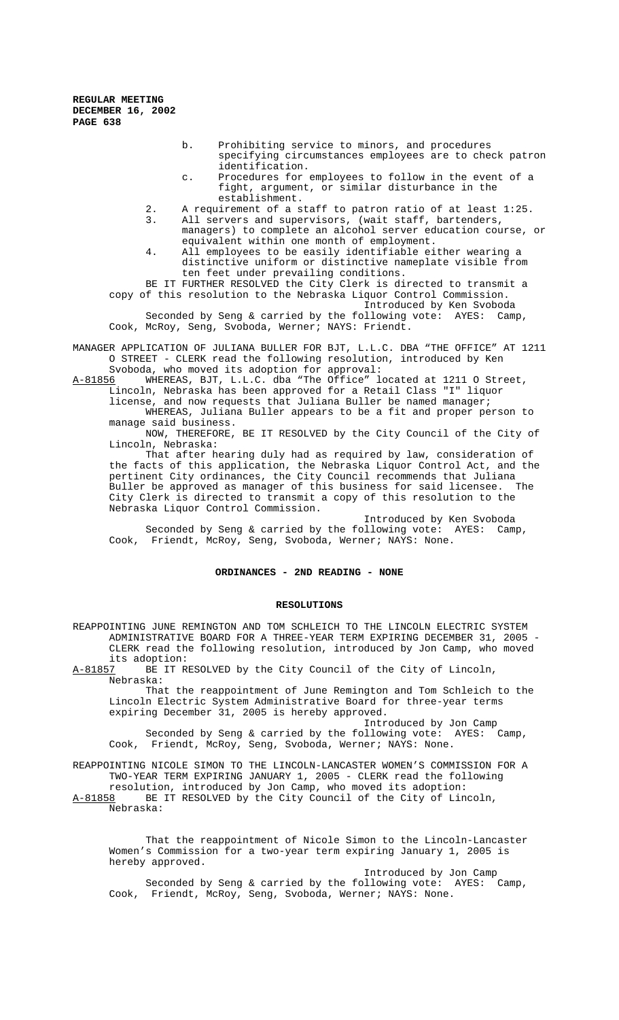- b. Prohibiting service to minors, and procedures specifying circumstances employees are to check patron identification.
- c. Procedures for employees to follow in the event of a fight, argument, or similar disturbance in the establishment.
- 2. A requirement of a staff to patron ratio of at least 1:25. 3. All servers and supervisors, (wait staff, bartenders, managers) to complete an alcohol server education course, or
- equivalent within one month of employment. 4. All employees to be easily identifiable either wearing a distinctive uniform or distinctive nameplate visible from ten feet under prevailing conditions.

BE IT FURTHER RESOLVED the City Clerk is directed to transmit a copy of this resolution to the Nebraska Liquor Control Commission. Introduced by Ken Svoboda

Seconded by Seng & carried by the following vote: AYES: Camp, Cook, McRoy, Seng, Svoboda, Werner; NAYS: Friendt.

MANAGER APPLICATION OF JULIANA BULLER FOR BJT, L.L.C. DBA "THE OFFICE" AT 1211 O STREET - CLERK read the following resolution, introduced by Ken Svoboda, who moved its adoption for approval:<br>A-81856 MHEREAS, BJT, L.L.C. dba "The Office" 1

WHEREAS, BJT, L.L.C. dba "The Office" located at 1211 O Street, Lincoln, Nebraska has been approved for a Retail Class "I" liquor

license, and now requests that Juliana Buller be named manager; WHEREAS, Juliana Buller appears to be a fit and proper person to manage said business.

NOW, THEREFORE, BE IT RESOLVED by the City Council of the City of Lincoln, Nebraska:

That after hearing duly had as required by law, consideration of the facts of this application, the Nebraska Liquor Control Act, and the pertinent City ordinances, the City Council recommends that Juliana Buller be approved as manager of this business for said licensee. The City Clerk is directed to transmit a copy of this resolution to the Nebraska Liquor Control Commission.

Introduced by Ken Svoboda Seconded by Seng & carried by the following vote: AYES: Camp, Cook, Friendt, McRoy, Seng, Svoboda, Werner; NAYS: None.

# **ORDINANCES - 2ND READING - NONE**

#### **RESOLUTIONS**

REAPPOINTING JUNE REMINGTON AND TOM SCHLEICH TO THE LINCOLN ELECTRIC SYSTEM ADMINISTRATIVE BOARD FOR A THREE-YEAR TERM EXPIRING DECEMBER 31, 2005 - CLERK read the following resolution, introduced by Jon Camp, who moved its adoption:<br><u>A-81857</u> BE IT R

BE IT RESOLVED by the City Council of the City of Lincoln, Nebraska:

That the reappointment of June Remington and Tom Schleich to the Lincoln Electric System Administrative Board for three-year terms expiring December 31, 2005 is hereby approved.

Introduced by Jon Camp Seconded by Seng & carried by the following vote: AYES: Camp, Cook, Friendt, McRoy, Seng, Svoboda, Werner; NAYS: None.

REAPPOINTING NICOLE SIMON TO THE LINCOLN-LANCASTER WOMEN'S COMMISSION FOR A TWO-YEAR TERM EXPIRING JANUARY 1, 2005 - CLERK read the following

resolution, introduced by Jon Camp, who moved its adoption: A-81858 BE IT RESOLVED by the City Council of the City of Lincoln, Nebraska:

That the reappointment of Nicole Simon to the Lincoln-Lancaster Women's Commission for a two-year term expiring January 1, 2005 is hereby approved.

Introduced by Jon Camp Seconded by Seng & carried by the following vote: AYES: Camp, Cook, Friendt, McRoy, Seng, Svoboda, Werner; NAYS: None.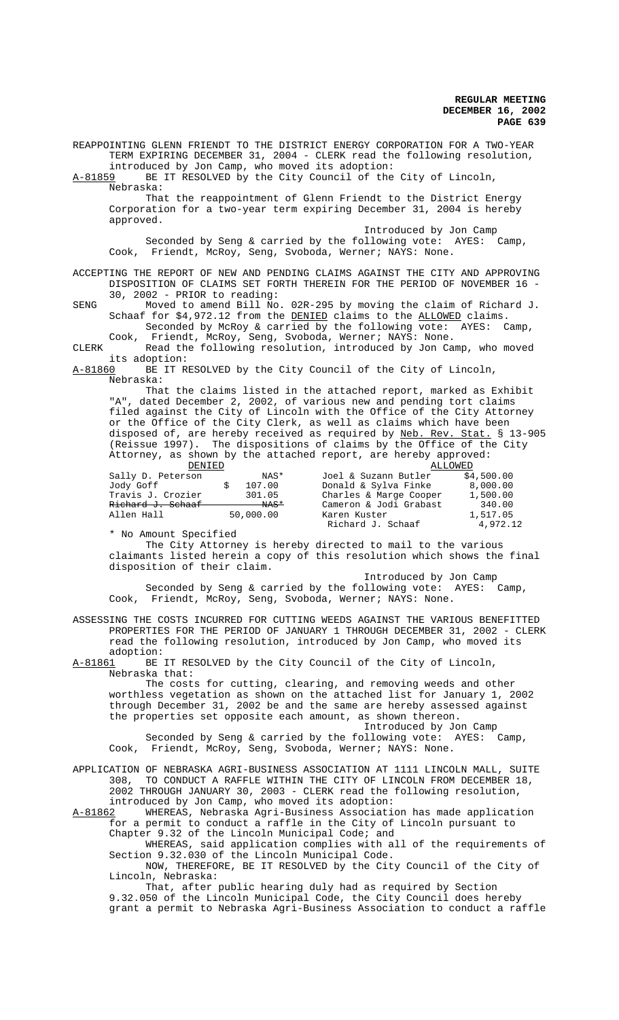REAPPOINTING GLENN FRIENDT TO THE DISTRICT ENERGY CORPORATION FOR A TWO-YEAR TERM EXPIRING DECEMBER 31, 2004 - CLERK read the following resolution, introduced by Jon Camp, who moved its adoption:

A-81859 BE IT RESOLVED by the City Council of the City of Lincoln, Nebraska:

That the reappointment of Glenn Friendt to the District Energy Corporation for a two-year term expiring December 31, 2004 is hereby approved.

Introduced by Jon Camp

Seconded by Seng & carried by the following vote: AYES: Camp, Cook, Friendt, McRoy, Seng, Svoboda, Werner; NAYS: None.

ACCEPTING THE REPORT OF NEW AND PENDING CLAIMS AGAINST THE CITY AND APPROVING DISPOSITION OF CLAIMS SET FORTH THEREIN FOR THE PERIOD OF NOVEMBER 16 - 30, 2002 - PRIOR to reading:

SENG Moved to amend Bill No. 02R-295 by moving the claim of Richard J. Schaaf for \$4,972.12 from the DENIED claims to the ALLOWED claims. Seconded by McRoy & carried by the following vote: AYES: Camp,

Cook, Friendt, McRoy, Seng, Svoboda, Werner; NAYS: None. CLERK Read the following resolution, introduced by Jon Camp, who moved

its adoption:<br>A-81860 BE IT R BE IT RESOLVED by the City Council of the City of Lincoln, Nebraska:

That the claims listed in the attached report, marked as Exhibit "A", dated December 2, 2002, of various new and pending tort claims filed against the City of Lincoln with the Office of the City Attorney or the Office of the City Clerk, as well as claims which have been disposed of, are hereby received as required by Neb. Rev. Stat. § 13-905 (Reissue 1997). The dispositions of claims by the Office of the City Attorney, as shown by the attached report, are hereby approved:<br>ALLOWED

| DENIED                       |           |                 | ALLOWED                |            |
|------------------------------|-----------|-----------------|------------------------|------------|
| Sally D. Peterson            |           | NAS*            | Joel & Suzann Butler   | \$4.500.00 |
| Jody Goff                    |           | 107.00          | Donald & Sylva Finke   | 8,000.00   |
| Travis J. Crozier            |           | 301.05          | Charles & Marge Cooper | 1,500.00   |
| <del>Richard J. Schaaf</del> |           | <del>NAS*</del> | Cameron & Jodi Grabast | 340.00     |
| Allen Hall                   | 50,000.00 |                 | Karen Kuster           | 1,517.05   |
|                              |           |                 | Richard J. Schaaf      | 4,972.12   |

\* No Amount Specified

The City Attorney is hereby directed to mail to the various claimants listed herein a copy of this resolution which shows the final disposition of their claim.

Introduced by Jon Camp

Seconded by Seng & carried by the following vote: AYES: Camp, Cook, Friendt, McRoy, Seng, Svoboda, Werner; NAYS: None.

ASSESSING THE COSTS INCURRED FOR CUTTING WEEDS AGAINST THE VARIOUS BENEFITTED PROPERTIES FOR THE PERIOD OF JANUARY 1 THROUGH DECEMBER 31, 2002 - CLERK read the following resolution, introduced by Jon Camp, who moved its adoption:

A-81861 BE IT RESOLVED by the City Council of the City of Lincoln, Nebraska that:

The costs for cutting, clearing, and removing weeds and other worthless vegetation as shown on the attached list for January 1, 2002 through December 31, 2002 be and the same are hereby assessed against the properties set opposite each amount, as shown thereon.

Introduced by Jon Camp Seconded by Seng & carried by the following vote: AYES: Camp, Cook, Friendt, McRoy, Seng, Svoboda, Werner; NAYS: None.

## APPLICATION OF NEBRASKA AGRI-BUSINESS ASSOCIATION AT 1111 LINCOLN MALL, SUITE 308, TO CONDUCT A RAFFLE WITHIN THE CITY OF LINCOLN FROM DECEMBER 18, 2002 THROUGH JANUARY 30, 2003 - CLERK read the following resolution, introduced by Jon Camp, who moved its adoption:

A-81862 WHEREAS, Nebraska Agri-Business Association has made application for a permit to conduct a raffle in the City of Lincoln pursuant to Chapter 9.32 of the Lincoln Municipal Code; and

WHEREAS, said application complies with all of the requirements of Section 9.32.030 of the Lincoln Municipal Code.

NOW, THEREFORE, BE IT RESOLVED by the City Council of the City of Lincoln, Nebraska:

That, after public hearing duly had as required by Section 9.32.050 of the Lincoln Municipal Code, the City Council does hereby grant a permit to Nebraska Agri-Business Association to conduct a raffle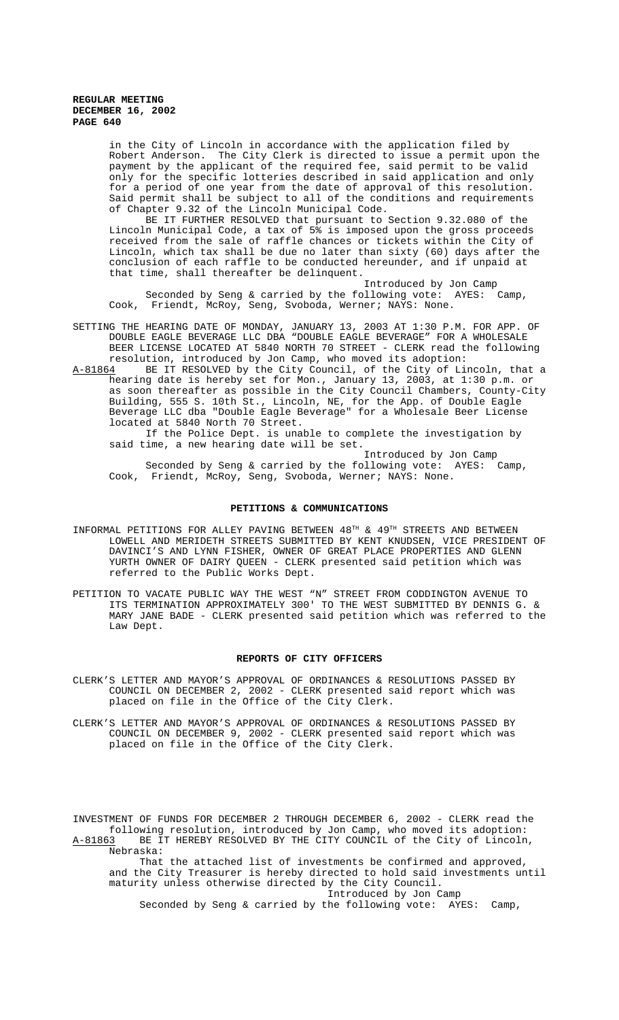in the City of Lincoln in accordance with the application filed by Robert Anderson. The City Clerk is directed to issue a permit upon the payment by the applicant of the required fee, said permit to be valid only for the specific lotteries described in said application and only for a period of one year from the date of approval of this resolution. Said permit shall be subject to all of the conditions and requirements of Chapter 9.32 of the Lincoln Municipal Code.

BE IT FURTHER RESOLVED that pursuant to Section 9.32.080 of the Lincoln Municipal Code, a tax of 5% is imposed upon the gross proceeds received from the sale of raffle chances or tickets within the City of Lincoln, which tax shall be due no later than sixty (60) days after the conclusion of each raffle to be conducted hereunder, and if unpaid at that time, shall thereafter be delinquent.

Introduced by Jon Camp Seconded by Seng & carried by the following vote: AYES: Camp, Cook, Friendt, McRoy, Seng, Svoboda, Werner; NAYS: None.

- SETTING THE HEARING DATE OF MONDAY, JANUARY 13, 2003 AT 1:30 P.M. FOR APP. OF DOUBLE EAGLE BEVERAGE LLC DBA "DOUBLE EAGLE BEVERAGE" FOR A WHOLESALE BEER LICENSE LOCATED AT 5840 NORTH 70 STREET - CLERK read the following resolution, introduced by Jon Camp, who moved its adoption:<br>A-81864 BE IT RESOLVED by the City Council, of the City of Lin
- BE IT RESOLVED by the City Council, of the City of Lincoln, that a hearing date is hereby set for Mon., January 13, 2003, at 1:30 p.m. or as soon thereafter as possible in the City Council Chambers, County-City Building, 555 S. 10th St., Lincoln, NE, for the App. of Double Eagle Beverage LLC dba "Double Eagle Beverage" for a Wholesale Beer License located at 5840 North 70 Street.

If the Police Dept. is unable to complete the investigation by said time, a new hearing date will be set.

Introduced by Jon Camp Seconded by Seng & carried by the following vote: AYES: Camp, Cook, Friendt, McRoy, Seng, Svoboda, Werner; NAYS: None.

#### **PETITIONS & COMMUNICATIONS**

- INFORMAL PETITIONS FOR ALLEY PAVING BETWEEN  $48^{\text{TH}}$  &  $49^{\text{TH}}$  STREETS AND BETWEEN LOWELL AND MERIDETH STREETS SUBMITTED BY KENT KNUDSEN, VICE PRESIDENT OF DAVINCI'S AND LYNN FISHER, OWNER OF GREAT PLACE PROPERTIES AND GLENN YURTH OWNER OF DAIRY QUEEN - CLERK presented said petition which was referred to the Public Works Dept.
- PETITION TO VACATE PUBLIC WAY THE WEST "N" STREET FROM CODDINGTON AVENUE TO ITS TERMINATION APPROXIMATELY 300' TO THE WEST SUBMITTED BY DENNIS G. & MARY JANE BADE - CLERK presented said petition which was referred to the Law Dept.

#### **REPORTS OF CITY OFFICERS**

- CLERK'S LETTER AND MAYOR'S APPROVAL OF ORDINANCES & RESOLUTIONS PASSED BY COUNCIL ON DECEMBER 2, 2002 - CLERK presented said report which was placed on file in the Office of the City Clerk.
- CLERK'S LETTER AND MAYOR'S APPROVAL OF ORDINANCES & RESOLUTIONS PASSED BY COUNCIL ON DECEMBER 9, 2002 - CLERK presented said report which was placed on file in the Office of the City Clerk.

INVESTMENT OF FUNDS FOR DECEMBER 2 THROUGH DECEMBER 6, 2002 - CLERK read the following resolution, introduced by Jon Camp, who moved its adoption: A-81863 BE IT HEREBY RESOLVED BY THE CITY COUNCIL of the City of Lincoln, Nebraska:

 That the attached list of investments be confirmed and approved, and the City Treasurer is hereby directed to hold said investments until maturity unless otherwise directed by the City Council.

Introduced by Jon Camp

Seconded by Seng & carried by the following vote: AYES: Camp,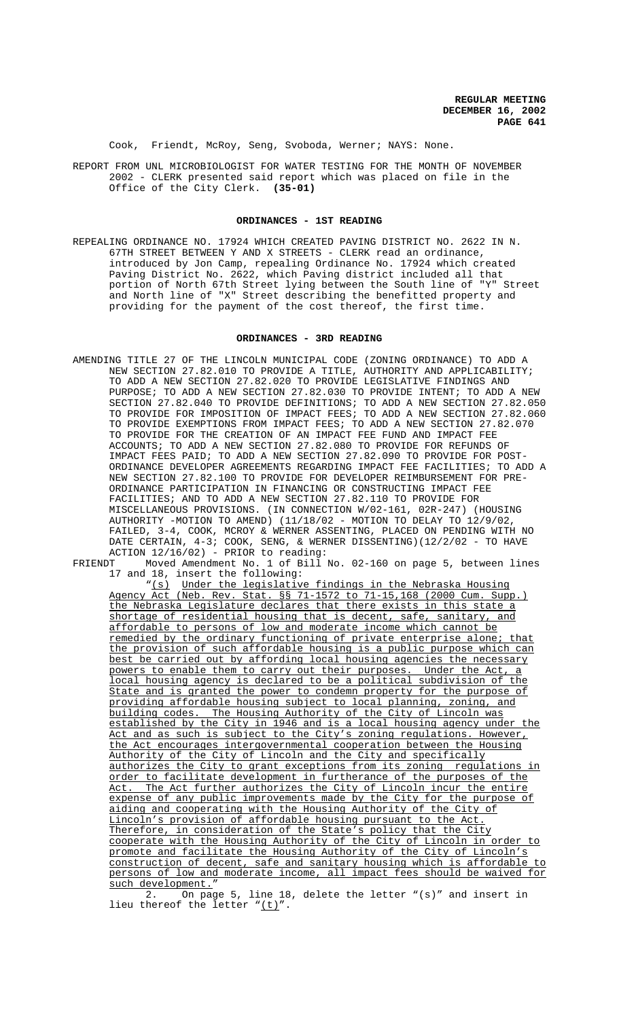Cook, Friendt, McRoy, Seng, Svoboda, Werner; NAYS: None.

REPORT FROM UNL MICROBIOLOGIST FOR WATER TESTING FOR THE MONTH OF NOVEMBER 2002 - CLERK presented said report which was placed on file in the Office of the City Clerk. **(35-01)**

## **ORDINANCES - 1ST READING**

REPEALING ORDINANCE NO. 17924 WHICH CREATED PAVING DISTRICT NO. 2622 IN N. 67TH STREET BETWEEN Y AND X STREETS - CLERK read an ordinance, introduced by Jon Camp, repealing Ordinance No. 17924 which created Paving District No. 2622, which Paving district included all that portion of North 67th Street lying between the South line of "Y" Street and North line of "X" Street describing the benefitted property and providing for the payment of the cost thereof, the first time.

#### **ORDINANCES - 3RD READING**

- AMENDING TITLE 27 OF THE LINCOLN MUNICIPAL CODE (ZONING ORDINANCE) TO ADD A NEW SECTION 27.82.010 TO PROVIDE A TITLE, AUTHORITY AND APPLICABILITY; TO ADD A NEW SECTION 27.82.020 TO PROVIDE LEGISLATIVE FINDINGS AND PURPOSE; TO ADD A NEW SECTION 27.82.030 TO PROVIDE INTENT; TO ADD A NEW SECTION 27.82.040 TO PROVIDE DEFINITIONS; TO ADD A NEW SECTION 27.82.050 TO PROVIDE FOR IMPOSITION OF IMPACT FEES; TO ADD A NEW SECTION 27.82.060 TO PROVIDE EXEMPTIONS FROM IMPACT FEES; TO ADD A NEW SECTION 27.82.070 TO PROVIDE FOR THE CREATION OF AN IMPACT FEE FUND AND IMPACT FEE ACCOUNTS; TO ADD A NEW SECTION 27.82.080 TO PROVIDE FOR REFUNDS OF IMPACT FEES PAID; TO ADD A NEW SECTION 27.82.090 TO PROVIDE FOR POST-ORDINANCE DEVELOPER AGREEMENTS REGARDING IMPACT FEE FACILITIES; TO ADD A NEW SECTION 27.82.100 TO PROVIDE FOR DEVELOPER REIMBURSEMENT FOR PRE-ORDINANCE PARTICIPATION IN FINANCING OR CONSTRUCTING IMPACT FEE FACILITIES; AND TO ADD A NEW SECTION 27.82.110 TO PROVIDE FOR MISCELLANEOUS PROVISIONS. (IN CONNECTION W/02-161, 02R-247) (HOUSING AUTHORITY -MOTION TO AMEND) (11/18/02 - MOTION TO DELAY TO 12/9/02, FAILED, 3-4, COOK, MCROY & WERNER ASSENTING, PLACED ON PENDING WITH NO DATE CERTAIN, 4-3; COOK, SENG, & WERNER DISSENTING)(12/2/02 - TO HAVE  $ACTION$   $12/16/02$ ) - PRIOR to reading:<br>FRIENDT Moved Amendment No 1 of Bill
- Moved Amendment No. 1 of Bill No. 02-160 on page 5, between lines 17 and 18, insert the following:

"(s) Under the legislative findings in the Nebraska Housing Agency Act (Neb. Rev. Stat. §§ 71-1572 to 71-15,168 (2000 Cum. Supp.) the Nebraska Legislature declares that there exists in this state a shortage of residential housing that is decent, safe, sanitary, and affordable to persons of low and moderate income which cannot be remedied by the ordinary functioning of private enterprise alone; that the provision of such affordable housing is a public purpose which can best be carried out by affording local housing agencies the necessary powers to enable them to carry out their purposes. Under the Act, a local housing agency is declared to be a political subdivision of the State and is granted the power to condemn property for the purpose of providing affordable housing subject to local planning, zoning, and building codes. The Housing Authority of the City of Lincoln was established by the City in 1946 and is a local housing agency under the Act and as such is subject to the City's zoning regulations. However, the Act encourages intergovernmental cooperation between the Housing Authority of the City of Lincoln and the City and specifically authorizes the City to grant exceptions from its zoning regulations in order to facilitate development in furtherance of the purposes of the Act. The Act further authorizes the City of Lincoln incur the entire expense of any public improvements made by the City for the purpose of aiding and cooperating with the Housing Authority of the City of Lincoln's provision of affordable housing pursuant to the Act. Therefore, in consideration of the State's policy that the City cooperate with the Housing Authority of the City of Lincoln in order to promote and facilitate the Housing Authority of the City of Lincoln's construction of decent, safe and sanitary housing which is affordable to persons of low and moderate income, all impact fees should be waived for such development."

2. On page 5, line 18, delete the letter "(s)" and insert in lieu thereof the letter " $(t)$ ".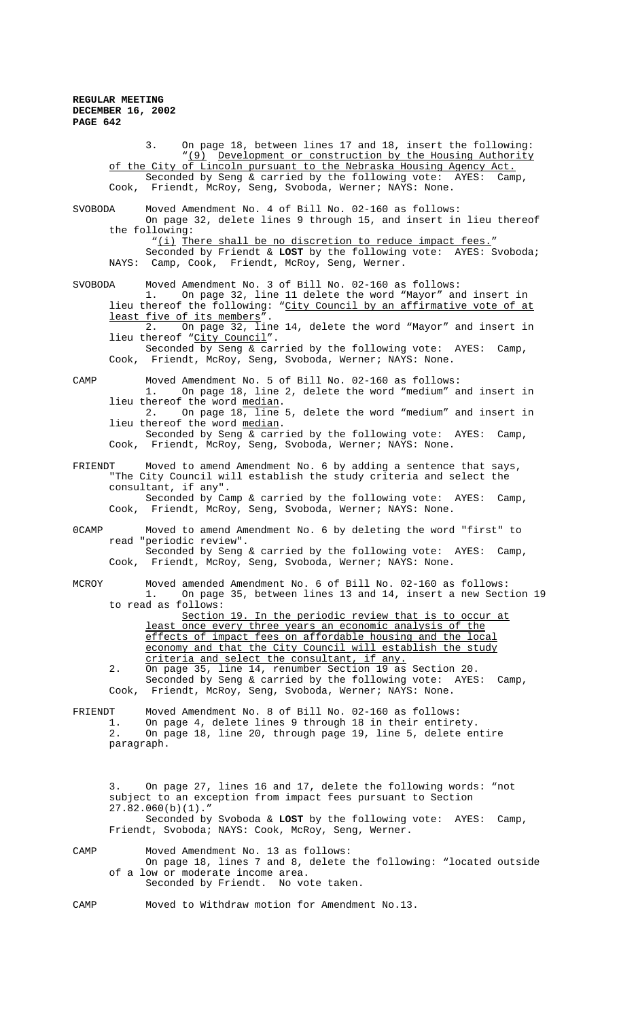3. On page 18, between lines 17 and 18, insert the following: "(9) Development or construction by the Housing Authority of the City of Lincoln pursuant to the Nebraska Housing Agency Act. Seconded by Seng & carried by the following vote: AYES: Camp, Cook, Friendt, McRoy, Seng, Svoboda, Werner; NAYS: None. SVOBODA Moved Amendment No. 4 of Bill No. 02-160 as follows: On page 32, delete lines 9 through 15, and insert in lieu thereof the following: "(i) There shall be no discretion to reduce impact fees." Seconded by Friendt & **LOST** by the following vote: AYES: Svoboda; NAYS: Camp, Cook, Friendt, McRoy, Seng, Werner. SVOBODA Moved Amendment No. 3 of Bill No. 02-160 as follows: 1. On page 32, line 11 delete the word "Mayor" and insert in lieu thereof the following: "City Council by an affirmative vote of at least five of its members". 2. On page 32, line 14, delete the word "Mayor" and insert in lieu thereof "City Council". Seconded by Seng & carried by the following vote: AYES: Camp, Cook, Friendt, McRoy, Seng, Svoboda, Werner; NAYS: None. CAMP Moved Amendment No. 5 of Bill No. 02-160 as follows: 1. On page 18, line 2, delete the word "medium" and insert in lieu thereof the word median. 2. On page 18, line 5, delete the word "medium" and insert in lieu thereof the word median. Seconded by Seng & carried by the following vote: AYES: Camp, Cook, Friendt, McRoy, Seng, Svoboda, Werner; NAYS: None. FRIENDT Moved to amend Amendment No. 6 by adding a sentence that says, "The City Council will establish the study criteria and select the consultant, if any". Seconded by Camp & carried by the following vote: AYES: Camp, Cook, Friendt, McRoy, Seng, Svoboda, Werner; NAYS: None. 0CAMP Moved to amend Amendment No. 6 by deleting the word "first" to read "periodic review". Seconded by Seng & carried by the following vote: AYES: Camp, Cook, Friendt, McRoy, Seng, Svoboda, Werner; NAYS: None. MCROY Moved amended Amendment No. 6 of Bill No. 02-160 as follows: 1. On page 35, between lines 13 and 14, insert a new Section 19 to read as follows: Section 19. In the periodic review that is to occur at least once every three years an economic analysis of the effects of impact fees on affordable housing and the local economy and that the City Council will establish the study criteria and select the consultant, if any. 2. On page 35, line 14, renumber Section 19 as Section 20. Seconded by Seng & carried by the following vote: AYES: Camp, Cook, Friendt, McRoy, Seng, Svoboda, Werner; NAYS: None. FRIENDT Moved Amendment No. 8 of Bill No. 02-160 as follows:<br>1. On page 4, delete lines 9 through 18 in their entire 1. On page 4, delete lines 9 through 18 in their entirety. 2. On page 18, line 20, through page 19, line 5, delete entire paragraph. 3. On page 27, lines 16 and 17, delete the following words: "not subject to an exception from impact fees pursuant to Section 27.82.060(b)(1)." Seconded by Svoboda & **LOST** by the following vote: AYES: Camp, Friendt, Svoboda; NAYS: Cook, McRoy, Seng, Werner. CAMP Moved Amendment No. 13 as follows: On page 18, lines 7 and 8, delete the following: "located outside of a low or moderate income area. Seconded by Friendt. No vote taken.

CAMP Moved to Withdraw motion for Amendment No.13.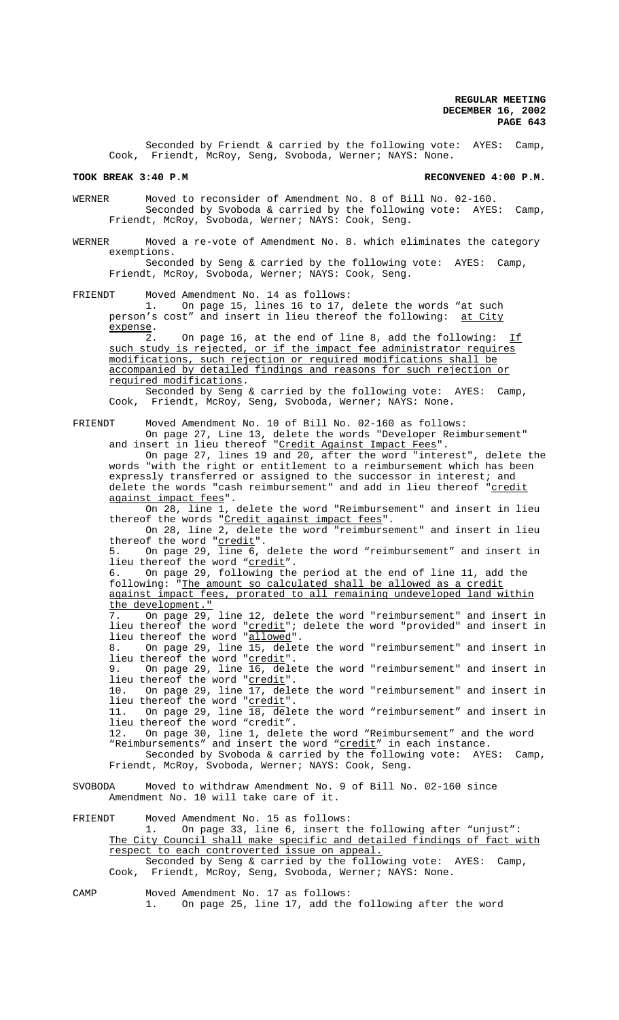Seconded by Friendt & carried by the following vote: AYES: Camp, Cook, Friendt, McRoy, Seng, Svoboda, Werner; NAYS: None.

#### **TOOK BREAK 3:40 P.M RECONVENED 4:00 P.M.**

WERNER Moved to reconsider of Amendment No. 8 of Bill No. 02-160. Seconded by Svoboda & carried by the following vote: AYES: Camp, Friendt, McRoy, Svoboda, Werner; NAYS: Cook, Seng.

WERNER Moved a re-vote of Amendment No. 8. which eliminates the category exemptions.

Seconded by Seng & carried by the following vote: AYES: Camp, Friendt, McRoy, Svoboda, Werner; NAYS: Cook, Seng.

FRIENDT Moved Amendment No. 14 as follows:<br>1. On page 15, lines 16 to 17,

1. On page 15, lines 16 to 17, delete the words "at such person's cost" and insert in lieu thereof the following: at City expense.

 $\overline{2}$ . On page 16, at the end of line 8, add the following: If such study is rejected, or if the impact fee administrator requires modifications, such rejection or required modifications shall be accompanied by detailed findings and reasons for such rejection or required modifications.

Seconded by Seng & carried by the following vote: AYES: Camp, Cook, Friendt, McRoy, Seng, Svoboda, Werner; NAYS: None.

FRIENDT Moved Amendment No. 10 of Bill No. 02-160 as follows: On page 27, Line 13, delete the words "Developer Reimbursement" and insert in lieu thereof "<u>Credit Against Impact Fees</u>".

On page 27, lines 19 and 20, after the word "interest", delete the words "with the right or entitlement to a reimbursement which has been expressly transferred or assigned to the successor in interest; and delete the words "cash reimbursement" and add in lieu thereof "<u>credit</u> against impact fees".

On 28, line 1, delete the word "Reimbursement" and insert in lieu thereof the words "Credit against impact fees".

On 28, line 2, delete the word "reimbursement" and insert in lieu thereof the word "credit".

5. On page 29, line 6, delete the word "reimbursement" and insert in lieu thereof the word "credit".

6. On page 29, following the period at the end of line 11, add the following: "The amount so calculated shall be allowed as a credit against impact fees, prorated to all remaining undeveloped land within the development.<br>7. On page 29

7. On page 29, line 12, delete the word "reimbursement" and insert in lieu thereof the word "<u>credit</u>"; delete the word "provided" and insert in lieu thereof the word "allowed". 8. On page 29, line 15, delete the word "reimbursement" and insert in

lieu thereof the word "credit"

9. On page 29, line 16, delete the word "reimbursement" and insert in lieu thereof the word "<u>credit</u>".<br>10. On page 29. line 17. dele

On page 29, line  $\overline{17}$ , delete the word "reimbursement" and insert in lieu thereof the word "credit".

11. On page 29, line 18, delete the word "reimbursement" and insert in lieu thereof the word "credit".

12. On page 30, line 1, delete the word "Reimbursement" and the word "Reimbursements" and insert the word "credit" in each instance.

Seconded by Svoboda & carried by the following vote: AYES: Camp, Friendt, McRoy, Svoboda, Werner; NAYS: Cook, Seng.

SVOBODA Moved to withdraw Amendment No. 9 of Bill No. 02-160 since Amendment No. 10 will take care of it.

FRIENDT Moved Amendment No. 15 as follows: 1. On page 33, line 6, insert the following after "unjust": The City Council shall make specific and detailed findings of fact with respect to each controverted issue on appeal. Seconded by Seng & carried by the following vote: AYES: Camp, Cook, Friendt, McRoy, Seng, Svoboda, Werner; NAYS: None.

CAMP Moved Amendment No. 17 as follows:

1. On page 25, line 17, add the following after the word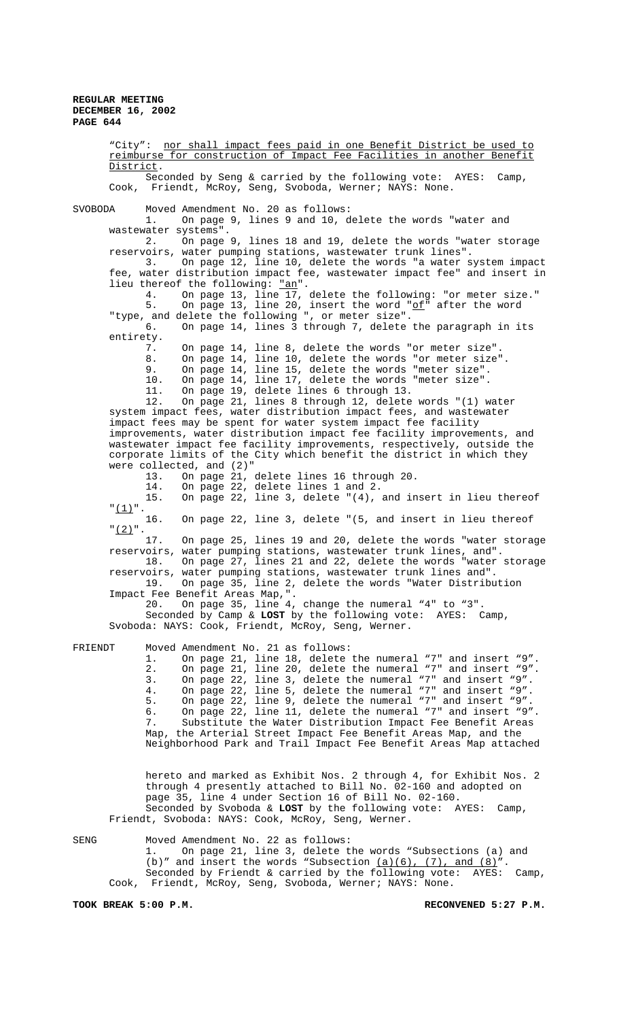"City": nor shall impact fees paid in one Benefit District be used to reimburse for construction of Impact Fee Facilities in another Benefit District. Seconded by Seng & carried by the following vote: AYES: Camp, Cook, Friendt, McRoy, Seng, Svoboda, Werner; NAYS: None. SVOBODA Moved Amendment No. 20 as follows: 1. On page 9, lines 9 and 10, delete the words "water and wastewater systems".<br>2. On page 2. On page 9, lines 18 and 19, delete the words "water storage reservoirs, water pumping stations, wastewater trunk lines". 3. On page 12, line 10, delete the words "a water system impact fee, water distribution impact fee, wastewater impact fee" and insert in lieu thereof the following: "an". 4. On page 13, line 17, delete the following: "or meter size." 5. On page 13, line 20, insert the word "of" after the word "type, and delete the following ", or meter size". 6. On page 14, lines 3 through 7, delete the paragraph in its entirety. 7. On page 14, line 8, delete the words "or meter size". 8. On page 14, line 10, delete the words "or meter size". 9. On page 14, line 15, delete the words "meter size". 10. On page 14, line 17, delete the words "meter size". 11. On page 19, delete lines 6 through 13. 12. On page 21, lines 8 through 12, delete words "(1) water system impact fees, water distribution impact fees, and wastewater impact fees may be spent for water system impact fee facility improvements, water distribution impact fee facility improvements, and wastewater impact fee facility improvements, respectively, outside the corporate limits of the City which benefit the district in which they were collected, and (2)"<br>13. On page 21, 13. On page 21, delete lines 16 through 20. 14. On page 22, delete lines 1 and 2. 15. On page 22, line 3, delete "(4), and insert in lieu thereof  $"\frac{(1)}{16}.$ On page 22, line 3, delete "(5, and insert in lieu thereof  $\frac{1}{2}$ ".<br>17 On page 25, lines 19 and 20, delete the words "water storage reservoirs, water pumping stations, wastewater trunk lines, and". On page 27, lines 21 and 22, delete the words "water storage reservoirs, water pumping stations, wastewater trunk lines and". On page 35, line 2, delete the words "Water Distribution Impact Fee Benefit Areas Map,". 20. On page 35, line 4, change the numeral "4" to "3". Seconded by Camp & **LOST** by the following vote: AYES: Camp, Svoboda: NAYS: Cook, Friendt, McRoy, Seng, Werner. FRIENDT Moved Amendment No. 21 as follows: 1. On page 21, line 18, delete the numeral "7" and insert "9". 2. On page 21, line 20, delete the numeral "7" and insert "9". 3. On page 22, line 3, delete the numeral "7" and insert "9". 4. On page 22, line 5, delete the numeral "7" and insert "9". 5. On page 22, line 9, delete the numeral "7" and insert "9". 6. On page 22, line 11, delete the numeral "7" and insert "9". 7. Substitute the Water Distribution Impact Fee Benefit Areas Map, the Arterial Street Impact Fee Benefit Areas Map, and the Neighborhood Park and Trail Impact Fee Benefit Areas Map attached

hereto and marked as Exhibit Nos. 2 through 4, for Exhibit Nos. 2 through 4 presently attached to Bill No. 02-160 and adopted on page 35, line 4 under Section 16 of Bill No. 02-160. Seconded by Svoboda & **LOST** by the following vote: AYES: Camp, Friendt, Svoboda: NAYS: Cook, McRoy, Seng, Werner.

SENG Moved Amendment No. 22 as follows: 1. On page 21, line 3, delete the words "Subsections (a) and (b)" and insert the words "Subsection  $(a)(6)$ ,  $(7)$ , and  $(8)$ ". Seconded by Friendt & carried by the following vote: AYES: Camp, Cook, Friendt, McRoy, Seng, Svoboda, Werner; NAYS: None.

**TOOK BREAK 5:00 P.M. RECONVENED 5:27 P.M.**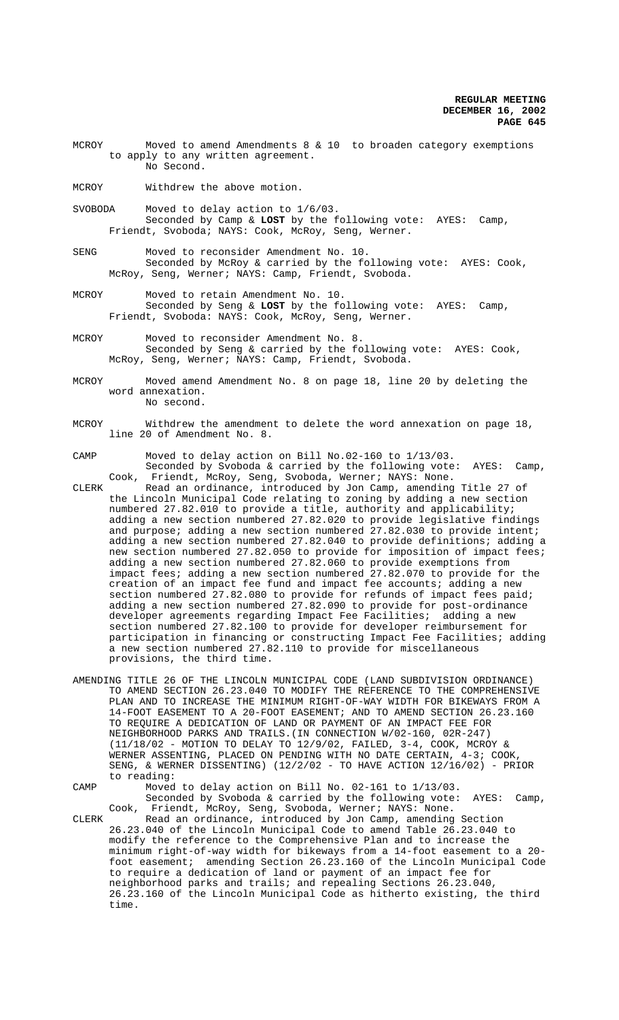- MCROY Moved to amend Amendments 8 & 10 to broaden category exemptions to apply to any written agreement. No Second.
- MCROY Withdrew the above motion.
- SVOBODA Moved to delay action to 1/6/03. Seconded by Camp & **LOST** by the following vote: AYES: Camp, Friendt, Svoboda; NAYS: Cook, McRoy, Seng, Werner.
- SENG Moved to reconsider Amendment No. 10. Seconded by McRoy & carried by the following vote: AYES: Cook, McRoy, Seng, Werner; NAYS: Camp, Friendt, Svoboda.
- MCROY Moved to retain Amendment No. 10. Seconded by Seng & **LOST** by the following vote: AYES: Camp, Friendt, Svoboda: NAYS: Cook, McRoy, Seng, Werner.
- MCROY Moved to reconsider Amendment No. 8. Seconded by Seng & carried by the following vote: AYES: Cook, McRoy, Seng, Werner; NAYS: Camp, Friendt, Svoboda.
- MCROY Moved amend Amendment No. 8 on page 18, line 20 by deleting the word annexation. No second.
- MCROY Withdrew the amendment to delete the word annexation on page 18, line 20 of Amendment No. 8.
- CAMP Moved to delay action on Bill No.02-160 to 1/13/03. Seconded by Svoboda & carried by the following vote: AYES: Camp, Cook, Friendt, McRoy, Seng, Svoboda, Werner; NAYS: None.
- CLERK Read an ordinance, introduced by Jon Camp, amending Title 27 of the Lincoln Municipal Code relating to zoning by adding a new section numbered 27.82.010 to provide a title, authority and applicability; adding a new section numbered 27.82.020 to provide legislative findings and purpose; adding a new section numbered 27.82.030 to provide intent; adding a new section numbered 27.82.040 to provide definitions; adding a new section numbered 27.82.050 to provide for imposition of impact fees; adding a new section numbered 27.82.060 to provide exemptions from impact fees; adding a new section numbered 27.82.070 to provide for the creation of an impact fee fund and impact fee accounts; adding a new section numbered 27.82.080 to provide for refunds of impact fees paid; adding a new section numbered 27.82.090 to provide for post-ordinance developer agreements regarding Impact Fee Facilities; adding a new section numbered 27.82.100 to provide for developer reimbursement for participation in financing or constructing Impact Fee Facilities; adding a new section numbered 27.82.110 to provide for miscellaneous provisions, the third time.
- AMENDING TITLE 26 OF THE LINCOLN MUNICIPAL CODE (LAND SUBDIVISION ORDINANCE) TO AMEND SECTION 26.23.040 TO MODIFY THE REFERENCE TO THE COMPREHENSIVE PLAN AND TO INCREASE THE MINIMUM RIGHT-OF-WAY WIDTH FOR BIKEWAYS FROM A 14-FOOT EASEMENT TO A 20-FOOT EASEMENT; AND TO AMEND SECTION 26.23.160 TO REQUIRE A DEDICATION OF LAND OR PAYMENT OF AN IMPACT FEE FOR NEIGHBORHOOD PARKS AND TRAILS.(IN CONNECTION W/02-160, 02R-247) (11/18/02 - MOTION TO DELAY TO 12/9/02, FAILED, 3-4, COOK, MCROY & WERNER ASSENTING, PLACED ON PENDING WITH NO DATE CERTAIN, 4-3; COOK, SENG, & WERNER DISSENTING)  $(12/2/02 - T0)$  HAVE ACTION  $12/16/02$ ) - PRIOR to reading:
- CAMP Moved to delay action on Bill No. 02-161 to 1/13/03. Seconded by Svoboda & carried by the following vote: AYES: Camp, Cook, Friendt, McRoy, Seng, Svoboda, Werner; NAYS: None.

CLERK Read an ordinance, introduced by Jon Camp, amending Section 26.23.040 of the Lincoln Municipal Code to amend Table 26.23.040 to modify the reference to the Comprehensive Plan and to increase the minimum right-of-way width for bikeways from a 14-foot easement to a 20 foot easement; amending Section 26.23.160 of the Lincoln Municipal Code to require a dedication of land or payment of an impact fee for neighborhood parks and trails; and repealing Sections 26.23.040, 26.23.160 of the Lincoln Municipal Code as hitherto existing, the third time.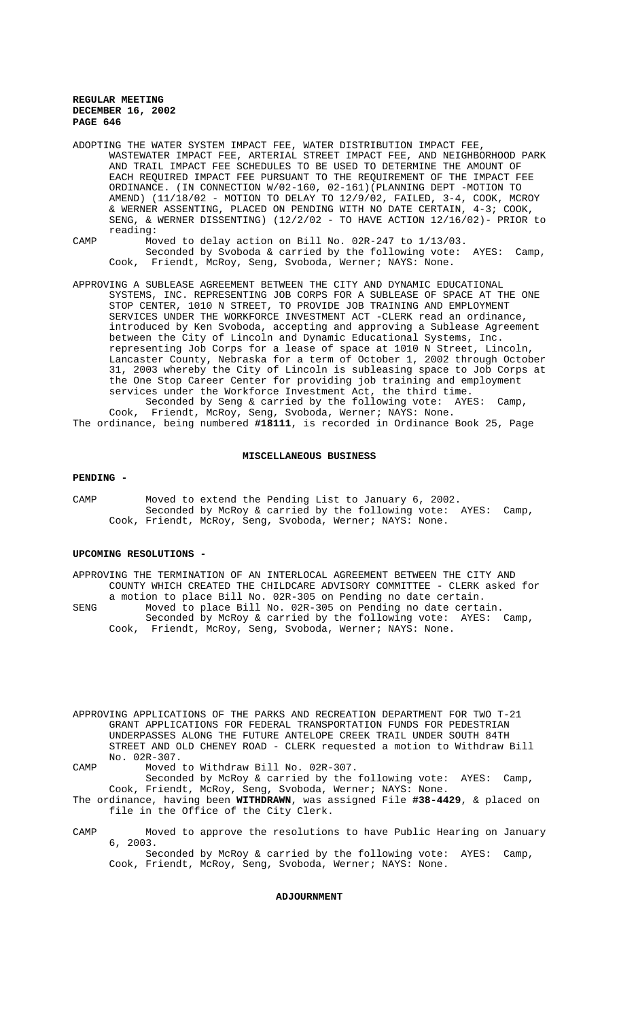ADOPTING THE WATER SYSTEM IMPACT FEE, WATER DISTRIBUTION IMPACT FEE, WASTEWATER IMPACT FEE, ARTERIAL STREET IMPACT FEE, AND NEIGHBORHOOD PARK AND TRAIL IMPACT FEE SCHEDULES TO BE USED TO DETERMINE THE AMOUNT OF EACH REQUIRED IMPACT FEE PURSUANT TO THE REQUIREMENT OF THE IMPACT FEE ORDINANCE. (IN CONNECTION W/02-160, 02-161)(PLANNING DEPT -MOTION TO AMEND) (11/18/02 - MOTION TO DELAY TO 12/9/02, FAILED, 3-4, COOK, MCROY & WERNER ASSENTING, PLACED ON PENDING WITH NO DATE CERTAIN, 4-3; COOK, SENG, & WERNER DISSENTING) (12/2/02 - TO HAVE ACTION 12/16/02)- PRIOR to reading:

- CAMP Moved to delay action on Bill No. 02R-247 to 1/13/03. Seconded by Svoboda & carried by the following vote: AYES: Camp, Cook, Friendt, McRoy, Seng, Svoboda, Werner; NAYS: None.
- APPROVING A SUBLEASE AGREEMENT BETWEEN THE CITY AND DYNAMIC EDUCATIONAL SYSTEMS, INC. REPRESENTING JOB CORPS FOR A SUBLEASE OF SPACE AT THE ONE STOP CENTER, 1010 N STREET, TO PROVIDE JOB TRAINING AND EMPLOYMENT SERVICES UNDER THE WORKFORCE INVESTMENT ACT -CLERK read an ordinance, introduced by Ken Svoboda, accepting and approving a Sublease Agreement between the City of Lincoln and Dynamic Educational Systems, Inc. representing Job Corps for a lease of space at 1010 N Street, Lincoln, Lancaster County, Nebraska for a term of October 1, 2002 through October 31, 2003 whereby the City of Lincoln is subleasing space to Job Corps at the One Stop Career Center for providing job training and employment services under the Workforce Investment Act, the third time. Seconded by Seng & carried by the following vote: AYES: Camp,

Cook, Friendt, McRoy, Seng, Svoboda, Werner; NAYS: None. The ordinance, being numbered **#18111**, is recorded in Ordinance Book 25, Page

## **MISCELLANEOUS BUSINESS**

#### **PENDING -**

CAMP Moved to extend the Pending List to January 6, 2002. Seconded by McRoy & carried by the following vote: AYES: Camp, Cook, Friendt, McRoy, Seng, Svoboda, Werner; NAYS: None.

## **UPCOMING RESOLUTIONS -**

APPROVING THE TERMINATION OF AN INTERLOCAL AGREEMENT BETWEEN THE CITY AND COUNTY WHICH CREATED THE CHILDCARE ADVISORY COMMITTEE - CLERK asked for a motion to place Bill No. 02R-305 on Pending no date certain. SENG Moved to place Bill No. 02R-305 on Pending no date certain. Seconded by McRoy & carried by the following vote: AYES: Camp, Cook, Friendt, McRoy, Seng, Svoboda, Werner; NAYS: None.

APPROVING APPLICATIONS OF THE PARKS AND RECREATION DEPARTMENT FOR TWO T-21 GRANT APPLICATIONS FOR FEDERAL TRANSPORTATION FUNDS FOR PEDESTRIAN UNDERPASSES ALONG THE FUTURE ANTELOPE CREEK TRAIL UNDER SOUTH 84TH STREET AND OLD CHENEY ROAD - CLERK requested a motion to Withdraw Bill No. 02R-307.

CAMP Moved to Withdraw Bill No. 02R-307.

Seconded by McRoy & carried by the following vote: AYES: Camp, Cook, Friendt, McRoy, Seng, Svoboda, Werner; NAYS: None.

The ordinance, having been **WITHDRAWN**, was assigned File **#38-4429**, & placed on file in the Office of the City Clerk.

CAMP Moved to approve the resolutions to have Public Hearing on January 6, 2003.

Seconded by McRoy & carried by the following vote: AYES: Camp, Cook, Friendt, McRoy, Seng, Svoboda, Werner; NAYS: None.

# **ADJOURNMENT**